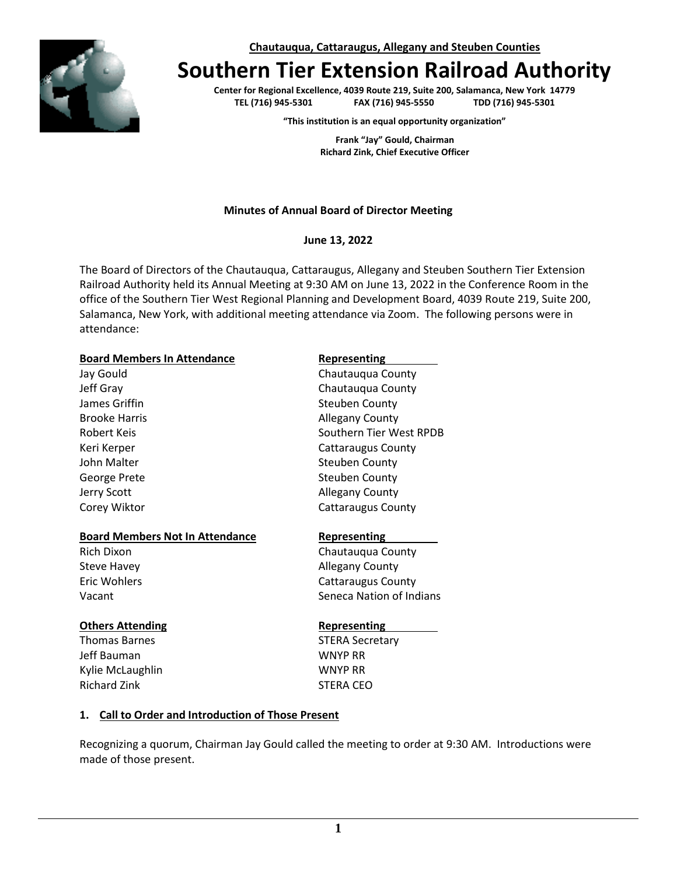

**Chautauqua, Cattaraugus, Allegany and Steuben Counties**

# **Southern Tier Extension Railroad Authority**

**Center for Regional Excellence, 4039 Route 219, Suite 200, Salamanca, New York 14779 TEL (716) 945-5301 FAX (716) 945-5550 TDD (716) 945-5301**

**"This institution is an equal opportunity organization"**

**Frank "Jay" Gould, Chairman Richard Zink, Chief Executive Officer**

### **Minutes of Annual Board of Director Meeting**

#### **June 13, 2022**

The Board of Directors of the Chautauqua, Cattaraugus, Allegany and Steuben Southern Tier Extension Railroad Authority held its Annual Meeting at 9:30 AM on June 13, 2022 in the Conference Room in the office of the Southern Tier West Regional Planning and Development Board, 4039 Route 219, Suite 200, Salamanca, New York, with additional meeting attendance via Zoom. The following persons were in attendance:

#### **Board Members In Attendance Representing**

Jay Gould **Chautauqua County** Jeff Gray Chautauqua County James Griffin Steuben County Brooke Harris **Allegany County** Robert Keis **Southern Tier West RPDB** Keri Kerper Cattaraugus County John Malter Steuben County George Prete Steuben County Jerry Scott **Allegany County** Corey Wiktor **Cores 2018** Cattaraugus County

#### **Board Members Not In Attendance Representing**

#### **Others Attending Representing**

Thomas Barnes **STERA** Secretary Jeff Bauman WNYP RR Kylie McLaughlin WNYP RR Richard Zink **STERA CEO** 

Rich Dixon Chautauqua County Steve Havey **Allegany County** Eric Wohlers **Cattaraugus County** Vacant **Seneca Nation of Indians** 

#### **1. Call to Order and Introduction of Those Present**

Recognizing a quorum, Chairman Jay Gould called the meeting to order at 9:30 AM. Introductions were made of those present.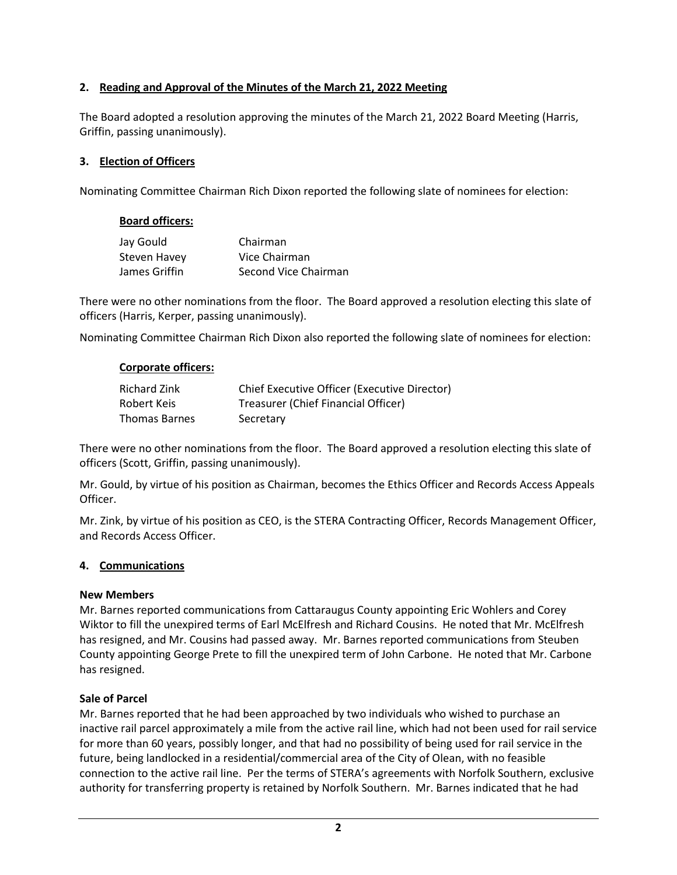### **2. Reading and Approval of the Minutes of the March 21, 2022 Meeting**

The Board adopted a resolution approving the minutes of the March 21, 2022 Board Meeting (Harris, Griffin, passing unanimously).

### **3. Election of Officers**

Nominating Committee Chairman Rich Dixon reported the following slate of nominees for election:

#### **Board officers:**

| Jay Gould     | Chairman             |
|---------------|----------------------|
| Steven Havey  | Vice Chairman        |
| James Griffin | Second Vice Chairman |

There were no other nominations from the floor. The Board approved a resolution electing this slate of officers (Harris, Kerper, passing unanimously).

Nominating Committee Chairman Rich Dixon also reported the following slate of nominees for election:

#### **Corporate officers:**

| <b>Richard Zink</b> | Chief Executive Officer (Executive Director) |
|---------------------|----------------------------------------------|
| Robert Keis         | Treasurer (Chief Financial Officer)          |
| Thomas Barnes       | Secretary                                    |

There were no other nominations from the floor. The Board approved a resolution electing this slate of officers (Scott, Griffin, passing unanimously).

Mr. Gould, by virtue of his position as Chairman, becomes the Ethics Officer and Records Access Appeals Officer.

Mr. Zink, by virtue of his position as CEO, is the STERA Contracting Officer, Records Management Officer, and Records Access Officer.

#### **4. Communications**

#### **New Members**

Mr. Barnes reported communications from Cattaraugus County appointing Eric Wohlers and Corey Wiktor to fill the unexpired terms of Earl McElfresh and Richard Cousins. He noted that Mr. McElfresh has resigned, and Mr. Cousins had passed away. Mr. Barnes reported communications from Steuben County appointing George Prete to fill the unexpired term of John Carbone. He noted that Mr. Carbone has resigned.

#### **Sale of Parcel**

Mr. Barnes reported that he had been approached by two individuals who wished to purchase an inactive rail parcel approximately a mile from the active rail line, which had not been used for rail service for more than 60 years, possibly longer, and that had no possibility of being used for rail service in the future, being landlocked in a residential/commercial area of the City of Olean, with no feasible connection to the active rail line. Per the terms of STERA's agreements with Norfolk Southern, exclusive authority for transferring property is retained by Norfolk Southern. Mr. Barnes indicated that he had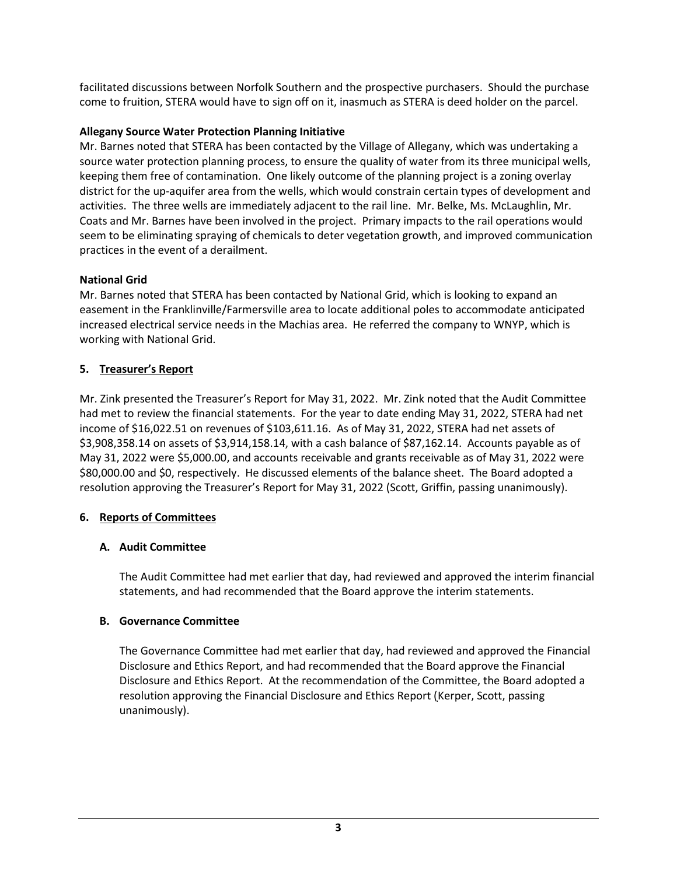facilitated discussions between Norfolk Southern and the prospective purchasers. Should the purchase come to fruition, STERA would have to sign off on it, inasmuch as STERA is deed holder on the parcel.

# **Allegany Source Water Protection Planning Initiative**

Mr. Barnes noted that STERA has been contacted by the Village of Allegany, which was undertaking a source water protection planning process, to ensure the quality of water from its three municipal wells, keeping them free of contamination. One likely outcome of the planning project is a zoning overlay district for the up-aquifer area from the wells, which would constrain certain types of development and activities. The three wells are immediately adjacent to the rail line. Mr. Belke, Ms. McLaughlin, Mr. Coats and Mr. Barnes have been involved in the project. Primary impacts to the rail operations would seem to be eliminating spraying of chemicals to deter vegetation growth, and improved communication practices in the event of a derailment.

# **National Grid**

Mr. Barnes noted that STERA has been contacted by National Grid, which is looking to expand an easement in the Franklinville/Farmersville area to locate additional poles to accommodate anticipated increased electrical service needs in the Machias area. He referred the company to WNYP, which is working with National Grid.

# **5. Treasurer's Report**

Mr. Zink presented the Treasurer's Report for May 31, 2022. Mr. Zink noted that the Audit Committee had met to review the financial statements. For the year to date ending May 31, 2022, STERA had net income of \$16,022.51 on revenues of \$103,611.16. As of May 31, 2022, STERA had net assets of \$3,908,358.14 on assets of \$3,914,158.14, with a cash balance of \$87,162.14. Accounts payable as of May 31, 2022 were \$5,000.00, and accounts receivable and grants receivable as of May 31, 2022 were \$80,000.00 and \$0, respectively. He discussed elements of the balance sheet. The Board adopted a resolution approving the Treasurer's Report for May 31, 2022 (Scott, Griffin, passing unanimously).

# **6. Reports of Committees**

# **A. Audit Committee**

The Audit Committee had met earlier that day, had reviewed and approved the interim financial statements, and had recommended that the Board approve the interim statements.

#### **B. Governance Committee**

The Governance Committee had met earlier that day, had reviewed and approved the Financial Disclosure and Ethics Report, and had recommended that the Board approve the Financial Disclosure and Ethics Report. At the recommendation of the Committee, the Board adopted a resolution approving the Financial Disclosure and Ethics Report (Kerper, Scott, passing unanimously).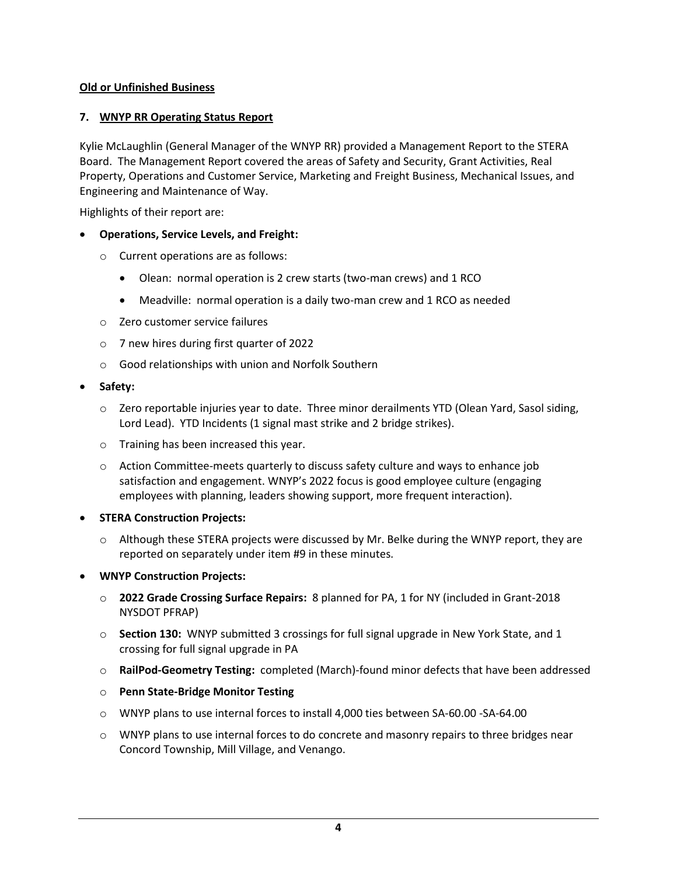### **Old or Unfinished Business**

# **7. WNYP RR Operating Status Report**

Kylie McLaughlin (General Manager of the WNYP RR) provided a Management Report to the STERA Board. The Management Report covered the areas of Safety and Security, Grant Activities, Real Property, Operations and Customer Service, Marketing and Freight Business, Mechanical Issues, and Engineering and Maintenance of Way.

Highlights of their report are:

#### • **Operations, Service Levels, and Freight:**

- o Current operations are as follows:
	- Olean: normal operation is 2 crew starts (two-man crews) and 1 RCO
	- Meadville: normal operation is a daily two-man crew and 1 RCO as needed
- o Zero customer service failures
- o 7 new hires during first quarter of 2022
- o Good relationships with union and Norfolk Southern
- **Safety:**
	- $\circ$  Zero reportable injuries year to date. Three minor derailments YTD (Olean Yard, Sasol siding, Lord Lead). YTD Incidents (1 signal mast strike and 2 bridge strikes).
	- o Training has been increased this year.
	- $\circ$  Action Committee-meets quarterly to discuss safety culture and ways to enhance job satisfaction and engagement. WNYP's 2022 focus is good employee culture (engaging employees with planning, leaders showing support, more frequent interaction).
- **STERA Construction Projects:**
	- o Although these STERA projects were discussed by Mr. Belke during the WNYP report, they are reported on separately under item #9 in these minutes.

#### • **WNYP Construction Projects:**

- o **2022 Grade Crossing Surface Repairs:** 8 planned for PA, 1 for NY (included in Grant-2018 NYSDOT PFRAP)
- o **Section 130:** WNYP submitted 3 crossings for full signal upgrade in New York State, and 1 crossing for full signal upgrade in PA
- o **RailPod-Geometry Testing:** completed (March)-found minor defects that have been addressed
- o **Penn State-Bridge Monitor Testing**
- o WNYP plans to use internal forces to install 4,000 ties between SA-60.00 -SA-64.00
- $\circ$  WNYP plans to use internal forces to do concrete and masonry repairs to three bridges near Concord Township, Mill Village, and Venango.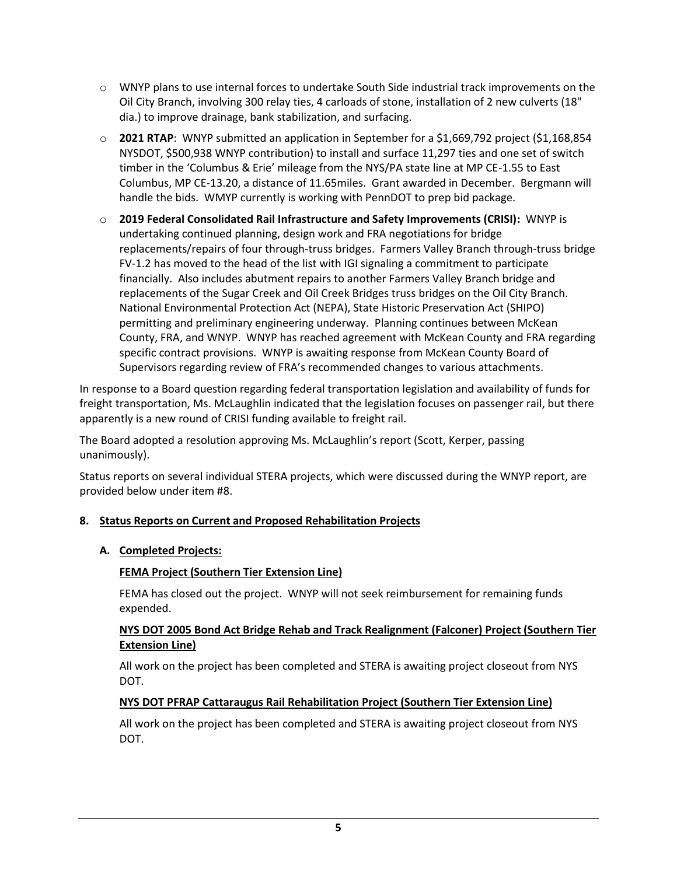- $\circ$  WNYP plans to use internal forces to undertake South Side industrial track improvements on the Oil City Branch, involving 300 relay ties, 4 carloads of stone, installation of 2 new culverts (18" dia.) to improve drainage, bank stabilization, and surfacing.
- o **2021 RTAP**: WNYP submitted an application in September for a \$1,669,792 project (\$1,168,854 NYSDOT, \$500,938 WNYP contribution) to install and surface 11,297 ties and one set of switch timber in the 'Columbus & Erie' mileage from the NYS/PA state line at MP CE-1.55 to East Columbus, MP CE-13.20, a distance of 11.65miles. Grant awarded in December. Bergmann will handle the bids. WMYP currently is working with PennDOT to prep bid package.
- o **2019 Federal Consolidated Rail Infrastructure and Safety Improvements (CRISI):** WNYP is undertaking continued planning, design work and FRA negotiations for bridge replacements/repairs of four through-truss bridges. Farmers Valley Branch through-truss bridge FV-1.2 has moved to the head of the list with IGI signaling a commitment to participate financially. Also includes abutment repairs to another Farmers Valley Branch bridge and replacements of the Sugar Creek and Oil Creek Bridges truss bridges on the Oil City Branch. National Environmental Protection Act (NEPA), State Historic Preservation Act (SHIPO) permitting and preliminary engineering underway. Planning continues between McKean County, FRA, and WNYP. WNYP has reached agreement with McKean County and FRA regarding specific contract provisions. WNYP is awaiting response from McKean County Board of Supervisors regarding review of FRA's recommended changes to various attachments.

In response to a Board question regarding federal transportation legislation and availability of funds for freight transportation, Ms. McLaughlin indicated that the legislation focuses on passenger rail, but there apparently is a new round of CRISI funding available to freight rail.

The Board adopted a resolution approving Ms. McLaughlin's report (Scott, Kerper, passing unanimously).

Status reports on several individual STERA projects, which were discussed during the WNYP report, are provided below under item #8.

#### **8. Status Reports on Current and Proposed Rehabilitation Projects**

#### **A. Completed Projects:**

#### **FEMA Project (Southern Tier Extension Line)**

FEMA has closed out the project. WNYP will not seek reimbursement for remaining funds expended.

# **NYS DOT 2005 Bond Act Bridge Rehab and Track Realignment (Falconer) Project (Southern Tier Extension Line)**

All work on the project has been completed and STERA is awaiting project closeout from NYS DOT.

#### **NYS DOT PFRAP Cattaraugus Rail Rehabilitation Project (Southern Tier Extension Line)**

All work on the project has been completed and STERA is awaiting project closeout from NYS DOT.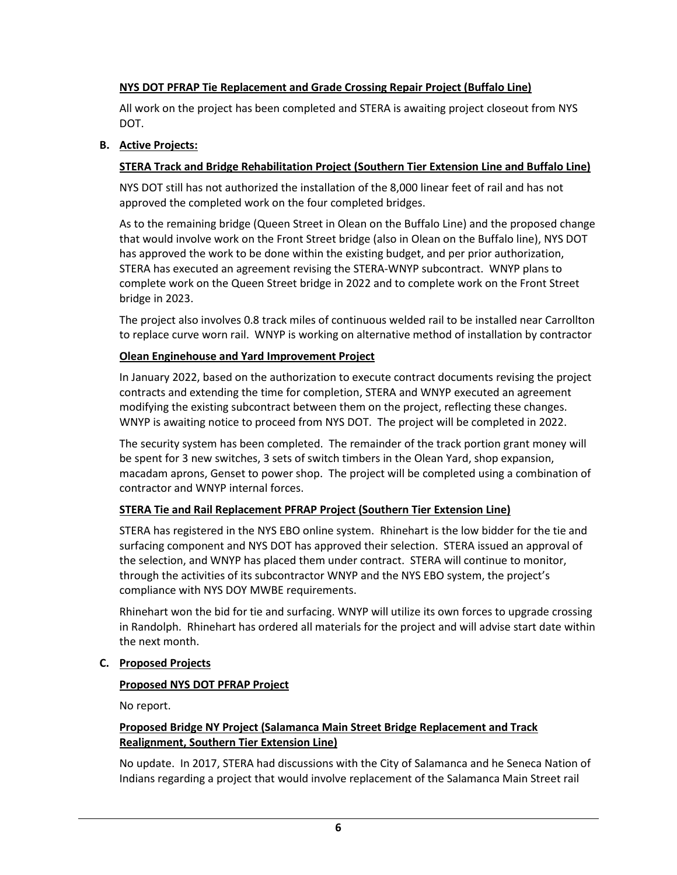# **NYS DOT PFRAP Tie Replacement and Grade Crossing Repair Project (Buffalo Line)**

All work on the project has been completed and STERA is awaiting project closeout from NYS DOT.

#### **B. Active Projects:**

#### **STERA Track and Bridge Rehabilitation Project (Southern Tier Extension Line and Buffalo Line)**

NYS DOT still has not authorized the installation of the 8,000 linear feet of rail and has not approved the completed work on the four completed bridges.

As to the remaining bridge (Queen Street in Olean on the Buffalo Line) and the proposed change that would involve work on the Front Street bridge (also in Olean on the Buffalo line), NYS DOT has approved the work to be done within the existing budget, and per prior authorization, STERA has executed an agreement revising the STERA-WNYP subcontract. WNYP plans to complete work on the Queen Street bridge in 2022 and to complete work on the Front Street bridge in 2023.

The project also involves 0.8 track miles of continuous welded rail to be installed near Carrollton to replace curve worn rail. WNYP is working on alternative method of installation by contractor

#### **Olean Enginehouse and Yard Improvement Project**

In January 2022, based on the authorization to execute contract documents revising the project contracts and extending the time for completion, STERA and WNYP executed an agreement modifying the existing subcontract between them on the project, reflecting these changes. WNYP is awaiting notice to proceed from NYS DOT. The project will be completed in 2022.

The security system has been completed. The remainder of the track portion grant money will be spent for 3 new switches, 3 sets of switch timbers in the Olean Yard, shop expansion, macadam aprons, Genset to power shop. The project will be completed using a combination of contractor and WNYP internal forces.

#### **STERA Tie and Rail Replacement PFRAP Project (Southern Tier Extension Line)**

STERA has registered in the NYS EBO online system. Rhinehart is the low bidder for the tie and surfacing component and NYS DOT has approved their selection. STERA issued an approval of the selection, and WNYP has placed them under contract. STERA will continue to monitor, through the activities of its subcontractor WNYP and the NYS EBO system, the project's compliance with NYS DOY MWBE requirements.

Rhinehart won the bid for tie and surfacing. WNYP will utilize its own forces to upgrade crossing in Randolph. Rhinehart has ordered all materials for the project and will advise start date within the next month.

#### **C. Proposed Projects**

#### **Proposed NYS DOT PFRAP Project**

No report.

#### **Proposed Bridge NY Project (Salamanca Main Street Bridge Replacement and Track Realignment, Southern Tier Extension Line)**

No update. In 2017, STERA had discussions with the City of Salamanca and he Seneca Nation of Indians regarding a project that would involve replacement of the Salamanca Main Street rail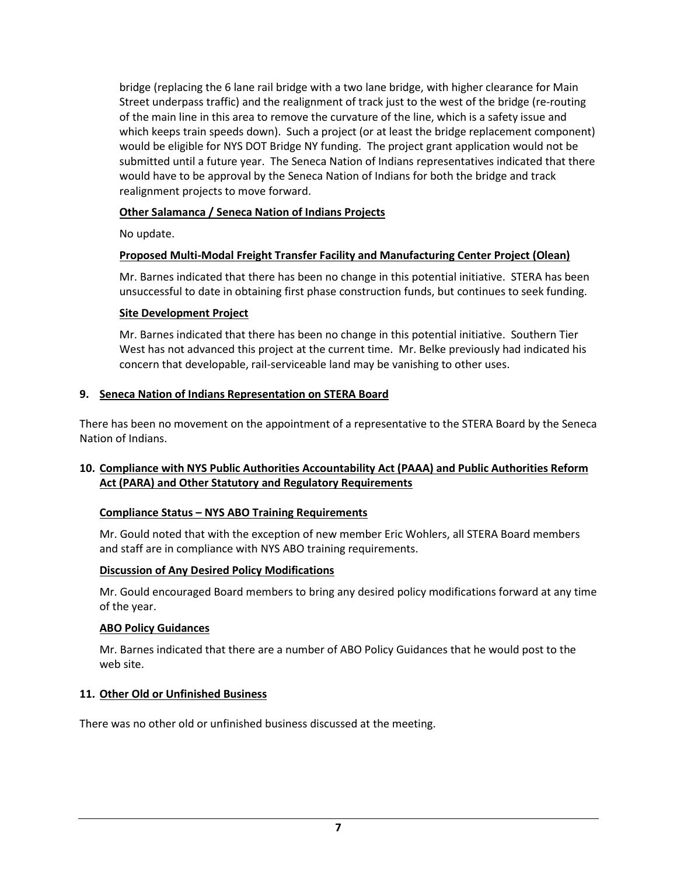bridge (replacing the 6 lane rail bridge with a two lane bridge, with higher clearance for Main Street underpass traffic) and the realignment of track just to the west of the bridge (re-routing of the main line in this area to remove the curvature of the line, which is a safety issue and which keeps train speeds down). Such a project (or at least the bridge replacement component) would be eligible for NYS DOT Bridge NY funding. The project grant application would not be submitted until a future year. The Seneca Nation of Indians representatives indicated that there would have to be approval by the Seneca Nation of Indians for both the bridge and track realignment projects to move forward.

# **Other Salamanca / Seneca Nation of Indians Projects**

No update.

# **Proposed Multi-Modal Freight Transfer Facility and Manufacturing Center Project (Olean)**

Mr. Barnes indicated that there has been no change in this potential initiative. STERA has been unsuccessful to date in obtaining first phase construction funds, but continues to seek funding.

#### **Site Development Project**

Mr. Barnes indicated that there has been no change in this potential initiative. Southern Tier West has not advanced this project at the current time. Mr. Belke previously had indicated his concern that developable, rail-serviceable land may be vanishing to other uses.

#### **9. Seneca Nation of Indians Representation on STERA Board**

There has been no movement on the appointment of a representative to the STERA Board by the Seneca Nation of Indians.

# **10. Compliance with NYS Public Authorities Accountability Act (PAAA) and Public Authorities Reform Act (PARA) and Other Statutory and Regulatory Requirements**

#### **Compliance Status – NYS ABO Training Requirements**

Mr. Gould noted that with the exception of new member Eric Wohlers, all STERA Board members and staff are in compliance with NYS ABO training requirements.

#### **Discussion of Any Desired Policy Modifications**

Mr. Gould encouraged Board members to bring any desired policy modifications forward at any time of the year.

#### **ABO Policy Guidances**

Mr. Barnes indicated that there are a number of ABO Policy Guidances that he would post to the web site.

#### **11. Other Old or Unfinished Business**

There was no other old or unfinished business discussed at the meeting.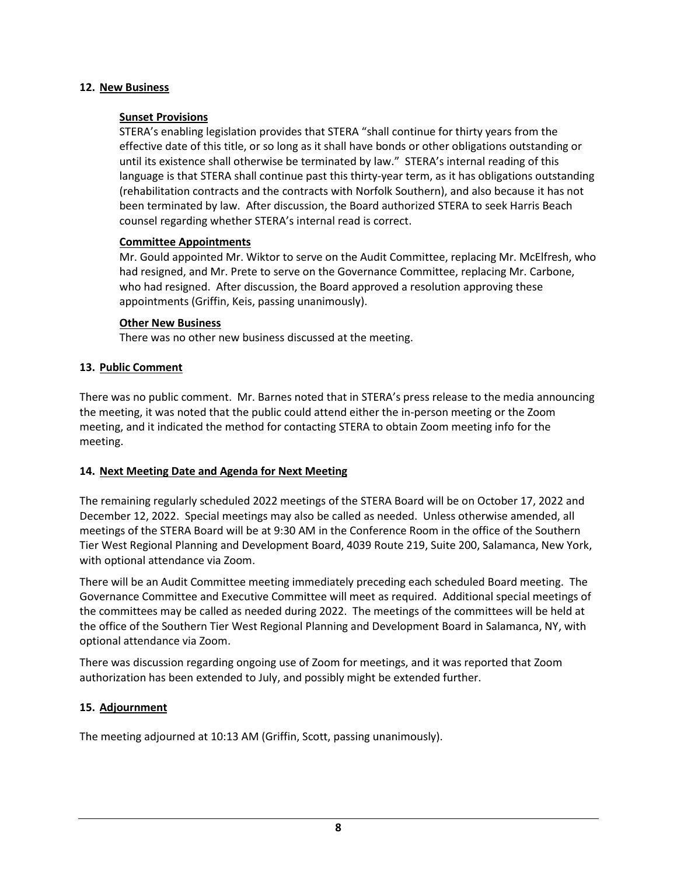#### **12. New Business**

#### **Sunset Provisions**

STERA's enabling legislation provides that STERA "shall continue for thirty years from the effective date of this title, or so long as it shall have bonds or other obligations outstanding or until its existence shall otherwise be terminated by law." STERA's internal reading of this language is that STERA shall continue past this thirty-year term, as it has obligations outstanding (rehabilitation contracts and the contracts with Norfolk Southern), and also because it has not been terminated by law. After discussion, the Board authorized STERA to seek Harris Beach counsel regarding whether STERA's internal read is correct.

#### **Committee Appointments**

Mr. Gould appointed Mr. Wiktor to serve on the Audit Committee, replacing Mr. McElfresh, who had resigned, and Mr. Prete to serve on the Governance Committee, replacing Mr. Carbone, who had resigned. After discussion, the Board approved a resolution approving these appointments (Griffin, Keis, passing unanimously).

#### **Other New Business**

There was no other new business discussed at the meeting.

#### **13. Public Comment**

There was no public comment. Mr. Barnes noted that in STERA's press release to the media announcing the meeting, it was noted that the public could attend either the in-person meeting or the Zoom meeting, and it indicated the method for contacting STERA to obtain Zoom meeting info for the meeting.

#### **14. Next Meeting Date and Agenda for Next Meeting**

The remaining regularly scheduled 2022 meetings of the STERA Board will be on October 17, 2022 and December 12, 2022. Special meetings may also be called as needed. Unless otherwise amended, all meetings of the STERA Board will be at 9:30 AM in the Conference Room in the office of the Southern Tier West Regional Planning and Development Board, 4039 Route 219, Suite 200, Salamanca, New York, with optional attendance via Zoom.

There will be an Audit Committee meeting immediately preceding each scheduled Board meeting. The Governance Committee and Executive Committee will meet as required. Additional special meetings of the committees may be called as needed during 2022. The meetings of the committees will be held at the office of the Southern Tier West Regional Planning and Development Board in Salamanca, NY, with optional attendance via Zoom.

There was discussion regarding ongoing use of Zoom for meetings, and it was reported that Zoom authorization has been extended to July, and possibly might be extended further.

#### **15. Adjournment**

The meeting adjourned at 10:13 AM (Griffin, Scott, passing unanimously).